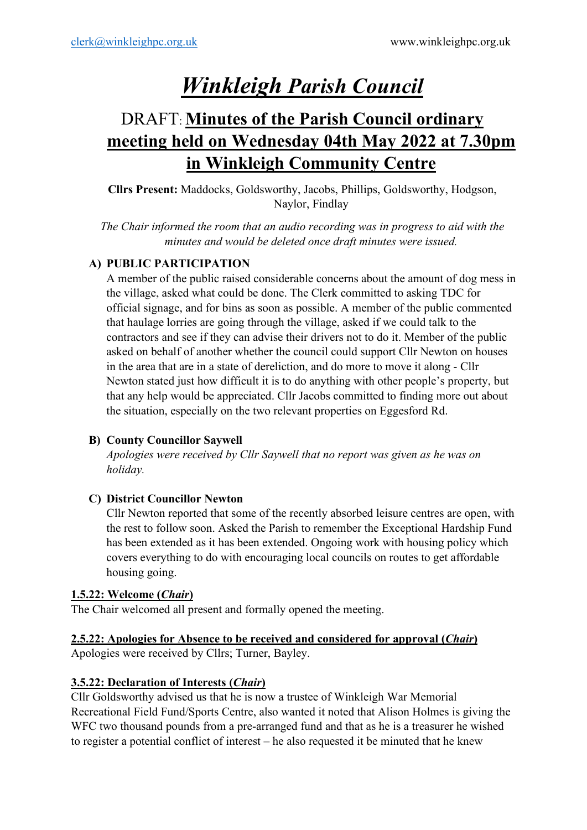# *Winkleigh Parish Council*

# DRAFT: **Minutes of the Parish Council ordinary meeting held on Wednesday 04th May 2022 at 7.30pm in Winkleigh Community Centre**

**Cllrs Present:** Maddocks, Goldsworthy, Jacobs, Phillips, Goldsworthy, Hodgson, Naylor, Findlay

*The Chair informed the room that an audio recording was in progress to aid with the minutes and would be deleted once draft minutes were issued.*

# **A) PUBLIC PARTICIPATION**

A member of the public raised considerable concerns about the amount of dog mess in the village, asked what could be done. The Clerk committed to asking TDC for official signage, and for bins as soon as possible. A member of the public commented that haulage lorries are going through the village, asked if we could talk to the contractors and see if they can advise their drivers not to do it. Member of the public asked on behalf of another whether the council could support Cllr Newton on houses in the area that are in a state of dereliction, and do more to move it along - Cllr Newton stated just how difficult it is to do anything with other people's property, but that any help would be appreciated. Cllr Jacobs committed to finding more out about the situation, especially on the two relevant properties on Eggesford Rd.

#### **B) County Councillor Saywell**

*Apologies were received by Cllr Saywell that no report was given as he was on holiday.*

# **C) District Councillor Newton**

Cllr Newton reported that some of the recently absorbed leisure centres are open, with the rest to follow soon. Asked the Parish to remember the Exceptional Hardship Fund has been extended as it has been extended. Ongoing work with housing policy which covers everything to do with encouraging local councils on routes to get affordable housing going.

# **1.5.22: Welcome (***Chair***)**

The Chair welcomed all present and formally opened the meeting.

# **2.5.22: Apologies for Absence to be received and considered for approval (***Chair***)**

Apologies were received by Cllrs; Turner, Bayley.

#### **3.5.22: Declaration of Interests (***Chair***)**

Cllr Goldsworthy advised us that he is now a trustee of Winkleigh War Memorial Recreational Field Fund/Sports Centre, also wanted it noted that Alison Holmes is giving the WFC two thousand pounds from a pre-arranged fund and that as he is a treasurer he wished to register a potential conflict of interest – he also requested it be minuted that he knew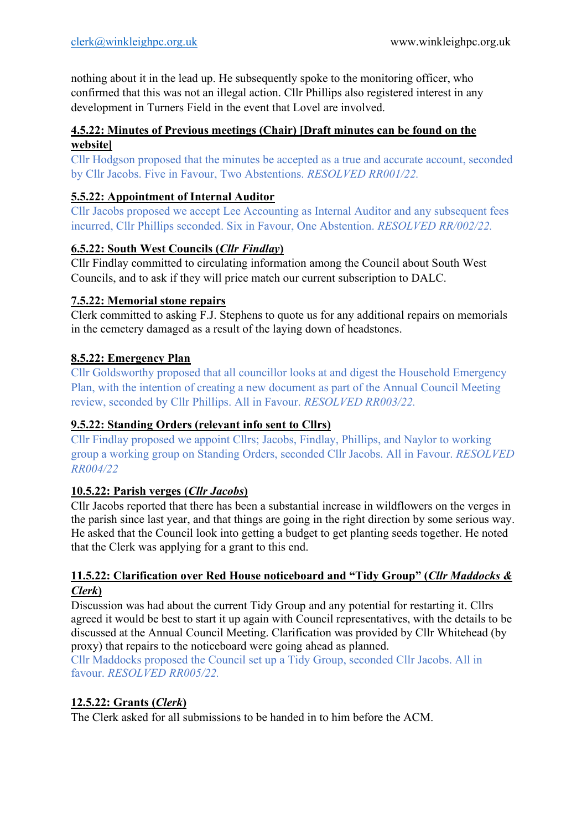nothing about it in the lead up. He subsequently spoke to the monitoring officer, who confirmed that this was not an illegal action. Cllr Phillips also registered interest in any development in Turners Field in the event that Lovel are involved.

#### **4.5.22: Minutes of Previous meetings (Chair) [Draft minutes can be found on the website]**

Cllr Hodgson proposed that the minutes be accepted as a true and accurate account, seconded by Cllr Jacobs. Five in Favour, Two Abstentions. *RESOLVED RR001/22.*

# **5.5.22: Appointment of Internal Auditor**

Cllr Jacobs proposed we accept Lee Accounting as Internal Auditor and any subsequent fees incurred, Cllr Phillips seconded. Six in Favour, One Abstention. *RESOLVED RR/002/22.*

# **6.5.22: South West Councils (***Cllr Findlay***)**

Cllr Findlay committed to circulating information among the Council about South West Councils, and to ask if they will price match our current subscription to DALC.

# **7.5.22: Memorial stone repairs**

Clerk committed to asking F.J. Stephens to quote us for any additional repairs on memorials in the cemetery damaged as a result of the laying down of headstones.

# **8.5.22: Emergency Plan**

Cllr Goldsworthy proposed that all councillor looks at and digest the Household Emergency Plan, with the intention of creating a new document as part of the Annual Council Meeting review, seconded by Cllr Phillips. All in Favour. *RESOLVED RR003/22.*

#### **9.5.22: Standing Orders (relevant info sent to Cllrs)**

Cllr Findlay proposed we appoint Cllrs; Jacobs, Findlay, Phillips, and Naylor to working group a working group on Standing Orders, seconded Cllr Jacobs. All in Favour. *RESOLVED RR004/22*

# **10.5.22: Parish verges (***Cllr Jacobs***)**

Cllr Jacobs reported that there has been a substantial increase in wildflowers on the verges in the parish since last year, and that things are going in the right direction by some serious way. He asked that the Council look into getting a budget to get planting seeds together. He noted that the Clerk was applying for a grant to this end.

#### **11.5.22: Clarification over Red House noticeboard and "Tidy Group" (***Cllr Maddocks & Clerk***)**

Discussion was had about the current Tidy Group and any potential for restarting it. Cllrs agreed it would be best to start it up again with Council representatives, with the details to be discussed at the Annual Council Meeting. Clarification was provided by Cllr Whitehead (by proxy) that repairs to the noticeboard were going ahead as planned.

Cllr Maddocks proposed the Council set up a Tidy Group, seconded Cllr Jacobs. All in favour. *RESOLVED RR005/22.*

# **12.5.22: Grants (***Clerk***)**

The Clerk asked for all submissions to be handed in to him before the ACM.